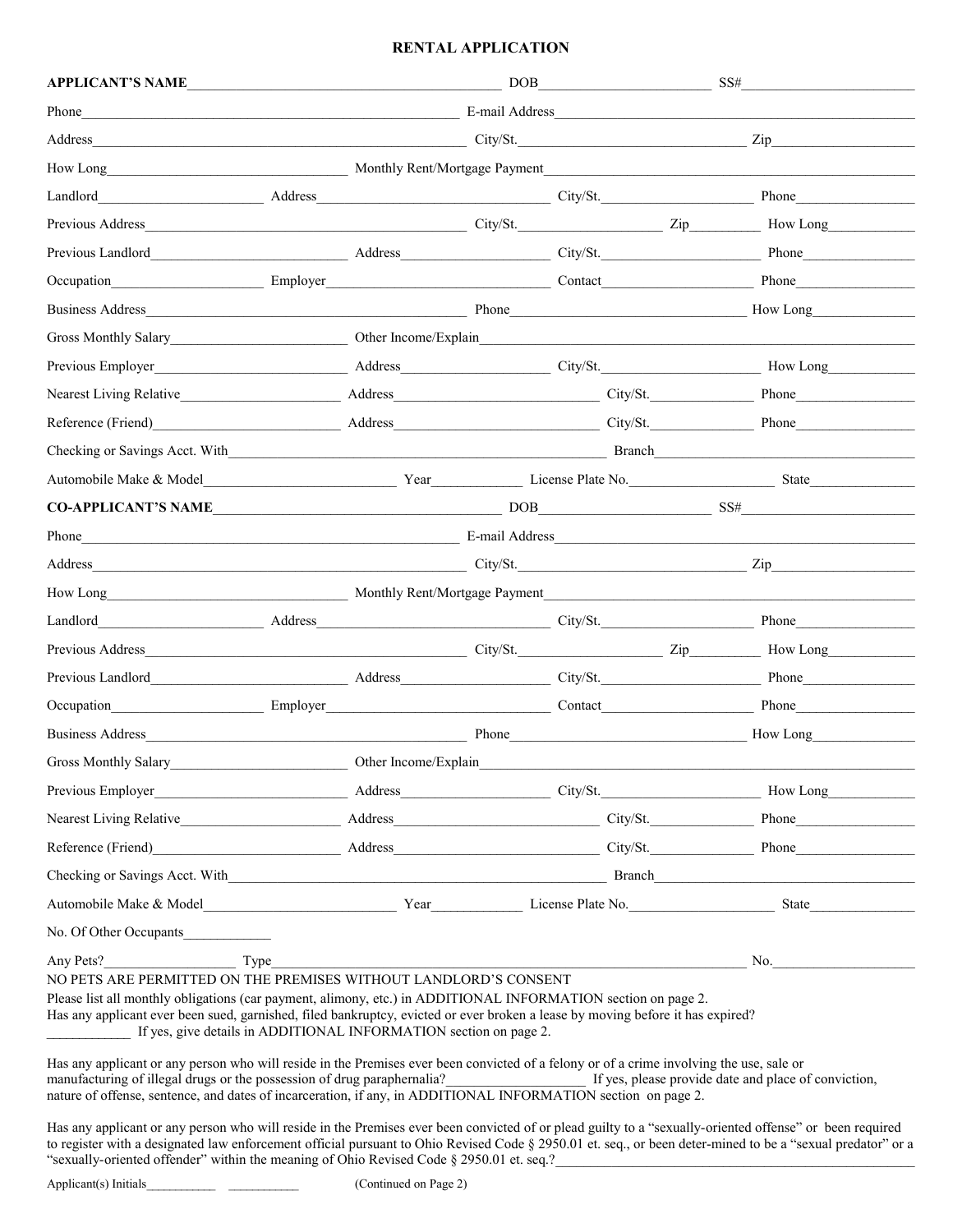## **RENTAL APPLICATION**

| <b>APPLICANT'S NAME</b>                                                                                                                                                                                                                                                                                                                                                                                                                                                                                                                                                                                                                                                                      | <u>and the state of the state of the state of the state of the state of the state of the state of the state of the state of the state of the state of the state of the state of the state of the state of the state of the state</u> | DOB            | <u> 1990 - Johann Barbara, martin a</u> | SS#          |
|----------------------------------------------------------------------------------------------------------------------------------------------------------------------------------------------------------------------------------------------------------------------------------------------------------------------------------------------------------------------------------------------------------------------------------------------------------------------------------------------------------------------------------------------------------------------------------------------------------------------------------------------------------------------------------------------|--------------------------------------------------------------------------------------------------------------------------------------------------------------------------------------------------------------------------------------|----------------|-----------------------------------------|--------------|
| Phone                                                                                                                                                                                                                                                                                                                                                                                                                                                                                                                                                                                                                                                                                        |                                                                                                                                                                                                                                      | E-mail Address |                                         |              |
| Address                                                                                                                                                                                                                                                                                                                                                                                                                                                                                                                                                                                                                                                                                      |                                                                                                                                                                                                                                      |                | City/St.                                | Zip          |
| How Long Monthly Rent/Mortgage Payment                                                                                                                                                                                                                                                                                                                                                                                                                                                                                                                                                                                                                                                       |                                                                                                                                                                                                                                      |                |                                         |              |
| Address City/St.<br>Landlord                                                                                                                                                                                                                                                                                                                                                                                                                                                                                                                                                                                                                                                                 |                                                                                                                                                                                                                                      |                |                                         |              |
|                                                                                                                                                                                                                                                                                                                                                                                                                                                                                                                                                                                                                                                                                              |                                                                                                                                                                                                                                      |                |                                         |              |
|                                                                                                                                                                                                                                                                                                                                                                                                                                                                                                                                                                                                                                                                                              |                                                                                                                                                                                                                                      |                |                                         |              |
| Occupation                                                                                                                                                                                                                                                                                                                                                                                                                                                                                                                                                                                                                                                                                   |                                                                                                                                                                                                                                      |                |                                         | <b>Phone</b> |
|                                                                                                                                                                                                                                                                                                                                                                                                                                                                                                                                                                                                                                                                                              |                                                                                                                                                                                                                                      |                |                                         | How Long     |
| Gross Monthly Salary Chern Home (Explain                                                                                                                                                                                                                                                                                                                                                                                                                                                                                                                                                                                                                                                     |                                                                                                                                                                                                                                      |                |                                         |              |
|                                                                                                                                                                                                                                                                                                                                                                                                                                                                                                                                                                                                                                                                                              |                                                                                                                                                                                                                                      |                |                                         |              |
|                                                                                                                                                                                                                                                                                                                                                                                                                                                                                                                                                                                                                                                                                              |                                                                                                                                                                                                                                      |                | City/St.                                | <b>Phone</b> |
| Reference (Friend)                                                                                                                                                                                                                                                                                                                                                                                                                                                                                                                                                                                                                                                                           |                                                                                                                                                                                                                                      |                | City/St.                                | <b>Phone</b> |
|                                                                                                                                                                                                                                                                                                                                                                                                                                                                                                                                                                                                                                                                                              |                                                                                                                                                                                                                                      |                |                                         |              |
|                                                                                                                                                                                                                                                                                                                                                                                                                                                                                                                                                                                                                                                                                              |                                                                                                                                                                                                                                      |                |                                         |              |
| CO-APPLICANT'S NAME                                                                                                                                                                                                                                                                                                                                                                                                                                                                                                                                                                                                                                                                          |                                                                                                                                                                                                                                      |                |                                         | $DOB$ $SS#$  |
| Phone                                                                                                                                                                                                                                                                                                                                                                                                                                                                                                                                                                                                                                                                                        |                                                                                                                                                                                                                                      |                |                                         |              |
| City/St. Zip<br>Address                                                                                                                                                                                                                                                                                                                                                                                                                                                                                                                                                                                                                                                                      |                                                                                                                                                                                                                                      |                |                                         |              |
| How Long                                                                                                                                                                                                                                                                                                                                                                                                                                                                                                                                                                                                                                                                                     |                                                                                                                                                                                                                                      |                |                                         |              |
| Address_ example and the contract of the contract of the contract of the contract of the contract of the contract of the contract of the contract of the contract of the contract of the contract of the contract of the contr<br>Landlord                                                                                                                                                                                                                                                                                                                                                                                                                                                   |                                                                                                                                                                                                                                      |                |                                         |              |
|                                                                                                                                                                                                                                                                                                                                                                                                                                                                                                                                                                                                                                                                                              |                                                                                                                                                                                                                                      |                |                                         | How Long     |
| Previous Landlord                                                                                                                                                                                                                                                                                                                                                                                                                                                                                                                                                                                                                                                                            |                                                                                                                                                                                                                                      |                |                                         | <b>Phone</b> |
| Occupation<br>Employer                                                                                                                                                                                                                                                                                                                                                                                                                                                                                                                                                                                                                                                                       | <b>Contact</b>                                                                                                                                                                                                                       |                |                                         | <b>Phone</b> |
| Business Address <b>Contract Contract Contract Contract Contract Contract Contract Contract Contract Contract Contract Contract Contract Contract Contract Contract Contract Contract Contract Contract Contract Contract Contra</b>                                                                                                                                                                                                                                                                                                                                                                                                                                                         |                                                                                                                                                                                                                                      | Phone          |                                         | How Long     |
| Gross Monthly Salary                                                                                                                                                                                                                                                                                                                                                                                                                                                                                                                                                                                                                                                                         | Other Income/Explain                                                                                                                                                                                                                 |                |                                         |              |
|                                                                                                                                                                                                                                                                                                                                                                                                                                                                                                                                                                                                                                                                                              |                                                                                                                                                                                                                                      |                |                                         |              |
|                                                                                                                                                                                                                                                                                                                                                                                                                                                                                                                                                                                                                                                                                              |                                                                                                                                                                                                                                      |                |                                         |              |
| Reference (Friend) Phone Phone Phone Phone Phone Phone Phone Phone Phone Phone Phone Phone Phone Phone Phone Phone Phone Phone Phone Phone Phone Phone Phone Phone Phone Phone Phone Phone Phone Phone Phone Phone Phone Phone                                                                                                                                                                                                                                                                                                                                                                                                                                                               |                                                                                                                                                                                                                                      |                |                                         |              |
| Checking or Savings Acct. With                                                                                                                                                                                                                                                                                                                                                                                                                                                                                                                                                                                                                                                               |                                                                                                                                                                                                                                      |                |                                         |              |
|                                                                                                                                                                                                                                                                                                                                                                                                                                                                                                                                                                                                                                                                                              |                                                                                                                                                                                                                                      |                |                                         |              |
| No. Of Other Occupants                                                                                                                                                                                                                                                                                                                                                                                                                                                                                                                                                                                                                                                                       |                                                                                                                                                                                                                                      |                |                                         |              |
| Any Pets?<br>Type<br>NO PETS ARE PERMITTED ON THE PREMISES WITHOUT LANDLORD'S CONSENT<br>Please list all monthly obligations (car payment, alimony, etc.) in ADDITIONAL INFORMATION section on page 2.<br>Has any applicant ever been sued, garnished, filed bankruptcy, evicted or ever broken a lease by moving before it has expired?<br>If yes, give details in ADDITIONAL INFORMATION section on page 2.<br>Has any applicant or any person who will reside in the Premises ever been convicted of a felony or of a crime involving the use, sale or<br>manufacturing of illegal drugs or the possession of drug paraphernalia?<br>If yes, please provide date and place of conviction, |                                                                                                                                                                                                                                      |                |                                         | $\sim$ No.   |
| nature of offense, sentence, and dates of incarceration, if any, in ADDITIONAL INFORMATION section on page 2.                                                                                                                                                                                                                                                                                                                                                                                                                                                                                                                                                                                |                                                                                                                                                                                                                                      |                |                                         |              |

Has any applicant or any person who will reside in the Premises ever been convicted of or plead guilty to a "sexually-oriented offense" or been required to register with a designated law enforcement official pursuant to Ohio Revised Code § 2950.01 et. seq., or been deter-mined to be a "sexual predator" or a "sexually-oriented offender" within the meaning of Ohio Revised Code  $\S$  2950.01 et. seq.?

Applicant(s) Initials\_\_\_\_\_\_\_\_\_\_\_\_\_\_\_\_\_\_\_\_\_\_\_\_\_\_\_\_\_\_\_\_\_\_ (Continued on Page 2)